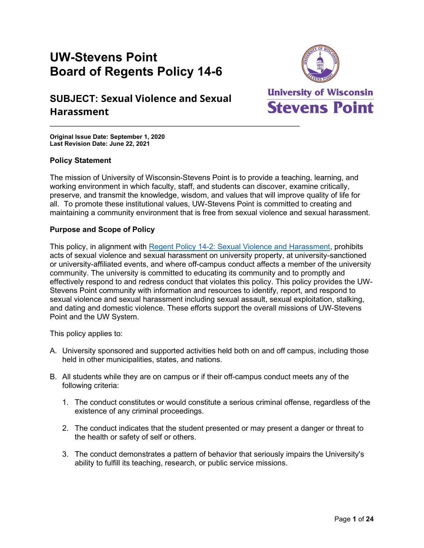# **UW-Stevens Point Board of Regents Policy 14-6**

## **SUBJECT: Sexual Violence and Sexual Harassment**



**Original Issue Date: September 1, 2020 Last Revision Date: June 22, 2021**

## **Policy Statement**

The mission of University of Wisconsin-Stevens Point is to provide a teaching, learning, and working environment in which faculty, staff, and students can discover, examine critically, preserve, and transmit the knowledge, wisdom, and values that will improve quality of life for all. To promote these institutional values, UW-Stevens Point is committed to creating and maintaining a community environment that is free from sexual violence and sexual harassment.

## **Purpose and Scope of Policy**

This policy, in alignment with [Regent Policy 14-2: Sexual Violence and Harassment,](https://www.wisconsin.edu/regents/policies/sexual-violence-and-sexual-harassment/) prohibits acts of sexual violence and sexual harassment on university property, at university-sanctioned or university-affiliated events, and where off-campus conduct affects a member of the university community. The university is committed to educating its community and to promptly and effectively respond to and redress conduct that violates this policy. This policy provides the UW-Stevens Point community with information and resources to identify, report, and respond to sexual violence and sexual harassment including sexual assault, sexual exploitation, stalking, and dating and domestic violence. These efforts support the overall missions of UW-Stevens Point and the UW System.

This policy applies to:

- A. University sponsored and supported activities held both on and off campus, including those held in other municipalities, states, and nations.
- B. All students while they are on campus or if their off-campus conduct meets any of the following criteria:
	- 1. The conduct constitutes or would constitute a serious criminal offense, regardless of the existence of any criminal proceedings.
	- 2. The conduct indicates that the student presented or may present a danger or threat to the health or safety of self or others.
	- 3. The conduct demonstrates a pattern of behavior that seriously impairs the University's ability to fulfill its teaching, research, or public service missions.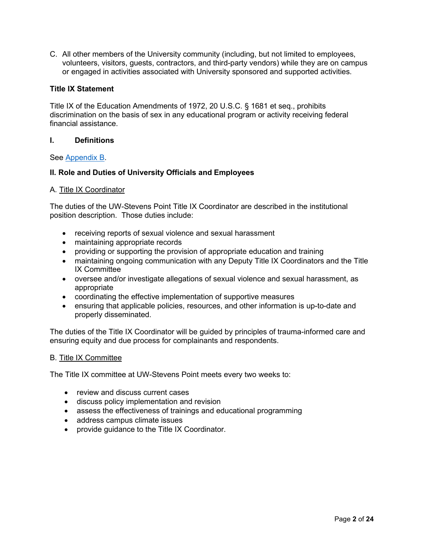C. All other members of the University community (including, but not limited to employees, volunteers, visitors, guests, contractors, and third-party vendors) while they are on campus or engaged in activities associated with University sponsored and supported activities.

## **Title IX Statement**

Title IX of the Education Amendments of 1972, 20 U.S.C. § 1681 et seq., prohibits discrimination on the basis of sex in any educational program or activity receiving federal financial assistance.

#### **I. Definitions**

#### See [Appendix B.](#page-10-0)

## **II. Role and Duties of University Officials and Employees**

#### A. Title IX Coordinator

The duties of the UW-Stevens Point Title IX Coordinator are described in the institutional position description. Those duties include:

- receiving reports of sexual violence and sexual harassment
- maintaining appropriate records
- providing or supporting the provision of appropriate education and training
- maintaining ongoing communication with any Deputy Title IX Coordinators and the Title IX Committee
- oversee and/or investigate allegations of sexual violence and sexual harassment, as appropriate
- coordinating the effective implementation of supportive measures
- ensuring that applicable policies, resources, and other information is up-to-date and properly disseminated.

The duties of the Title IX Coordinator will be guided by principles of trauma-informed care and ensuring equity and due process for complainants and respondents.

#### B. Title IX Committee

The Title IX committee at UW-Stevens Point meets every two weeks to:

- review and discuss current cases
- discuss policy implementation and revision
- assess the effectiveness of trainings and educational programming
- address campus climate issues
- provide guidance to the Title IX Coordinator.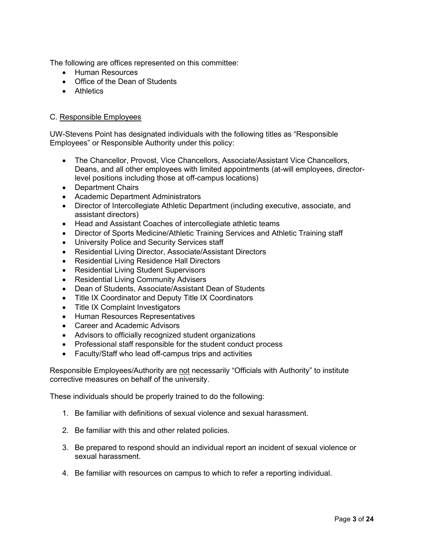The following are offices represented on this committee:

- Human Resources
- Office of the Dean of Students
- Athletics

## C. Responsible Employees

UW-Stevens Point has designated individuals with the following titles as "Responsible Employees" or Responsible Authority under this policy:

- The Chancellor, Provost, Vice Chancellors, Associate/Assistant Vice Chancellors, Deans, and all other employees with limited appointments (at-will employees, directorlevel positions including those at off-campus locations)
- Department Chairs
- Academic Department Administrators
- Director of Intercollegiate Athletic Department (including executive, associate, and assistant directors)
- Head and Assistant Coaches of intercollegiate athletic teams
- Director of Sports Medicine/Athletic Training Services and Athletic Training staff
- University Police and Security Services staff
- Residential Living Director, Associate/Assistant Directors
- Residential Living Residence Hall Directors
- Residential Living Student Supervisors
- Residential Living Community Advisers
- Dean of Students, Associate/Assistant Dean of Students
- Title IX Coordinator and Deputy Title IX Coordinators
- Title IX Complaint Investigators
- Human Resources Representatives
- Career and Academic Advisors
- Advisors to officially recognized student organizations
- Professional staff responsible for the student conduct process
- Faculty/Staff who lead off-campus trips and activities

Responsible Employees/Authority are not necessarily "Officials with Authority" to institute corrective measures on behalf of the university.

These individuals should be properly trained to do the following:

- 1. Be familiar with definitions of sexual violence and sexual harassment.
- 2. Be familiar with this and other related policies.
- 3. Be prepared to respond should an individual report an incident of sexual violence or sexual harassment.
- 4. Be familiar with resources on campus to which to refer a reporting individual.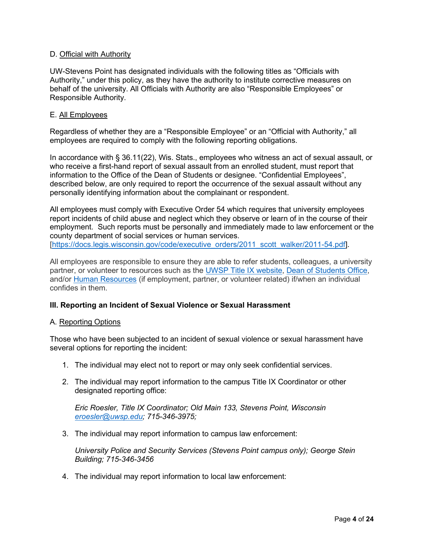## D. Official with Authority

UW-Stevens Point has designated individuals with the following titles as "Officials with Authority," under this policy, as they have the authority to institute corrective measures on behalf of the university. All Officials with Authority are also "Responsible Employees" or Responsible Authority.

#### E. All Employees

Regardless of whether they are a "Responsible Employee" or an "Official with Authority," all employees are required to comply with the following reporting obligations.

In accordance with § 36.11(22), Wis. Stats., employees who witness an act of sexual assault, or who receive a first-hand report of sexual assault from an enrolled student, must report that information to the Office of the Dean of Students or designee. "Confidential Employees", described below, are only required to report the occurrence of the sexual assault without any personally identifying information about the complainant or respondent.

All employees must comply with Executive Order 54 which requires that university employees report incidents of child abuse and neglect which they observe or learn of in the course of their employment. Such reports must be personally and immediately made to law enforcement or the county department of social services or human services. [\[https://docs.legis.wisconsin.gov/code/executive\\_orders/2011\\_scott\\_walker/2011-54.pdf\]](https://docs.legis.wisconsin.gov/code/executive_orders/2011_scott_walker/2011-54.pdf).

All employees are responsible to ensure they are able to refer students, colleagues, a university partner, or volunteer to resources such as the [UWSP Title IX website,](https://www.uwsp.edu/titleix/Pages/default.aspx) [Dean of Students Office,](https://www.uwsp.edu/DOS/sexualassault/Pages/default.aspx) and/or [Human Resources](https://www.uwsp.edu/hr/Pages/default.aspx) (if employment, partner, or volunteer related) if/when an individual confides in them.

## **III. Reporting an Incident of Sexual Violence or Sexual Harassment**

#### A. Reporting Options

Those who have been subjected to an incident of sexual violence or sexual harassment have several options for reporting the incident:

- 1. The individual may elect not to report or may only seek confidential services.
- 2. The individual may report information to the campus Title IX Coordinator or other designated reporting office:

*Eric Roesler, Title IX Coordinator; Old Main 133, Stevens Point, Wisconsin [eroesler@uwsp.edu;](mailto:eroesler@uwsp.edu) 715-346-3975;* 

3. The individual may report information to campus law enforcement:

*University Police and Security Services (Stevens Point campus only); George Stein Building; 715-346-3456*

4. The individual may report information to local law enforcement: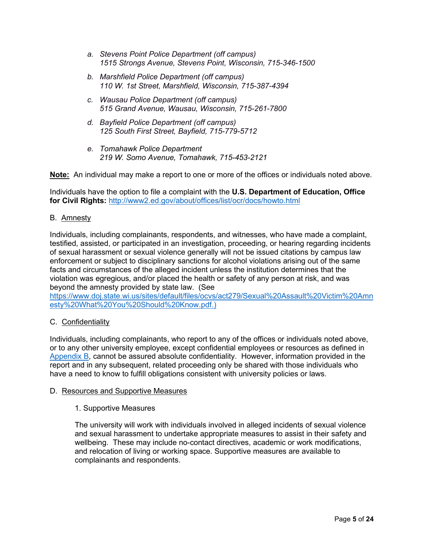- *a. Stevens Point Police Department (off campus) 1515 Strongs Avenue, Stevens Point, Wisconsin, 715-346-1500*
- *b. Marshfield Police Department (off campus) 110 W. 1st Street, Marshfield, Wisconsin, 715-387-4394*
- *c. Wausau Police Department (off campus) 515 Grand Avenue, Wausau, Wisconsin, 715-261-7800*
- *d. Bayfield Police Department (off campus) 125 South First Street, Bayfield, 715-779-5712*
- *e. Tomahawk Police Department 219 W. Somo Avenue, Tomahawk, 715-453-2121*

**Note:** An individual may make a report to one or more of the offices or individuals noted above.

Individuals have the option to file a complaint with the **U.S. Department of Education, Office for Civil Rights:** <http://www2.ed.gov/about/offices/list/ocr/docs/howto.html>

## B. Amnesty

Individuals, including complainants, respondents, and witnesses, who have made a complaint, testified, assisted, or participated in an investigation, proceeding, or hearing regarding incidents of sexual harassment or sexual violence generally will not be issued citations by campus law enforcement or subject to disciplinary sanctions for alcohol violations arising out of the same facts and circumstances of the alleged incident unless the institution determines that the violation was egregious, and/or placed the health or safety of any person at risk, and was beyond the amnesty provided by state law. (See

[https://www.doj.state.wi.us/sites/default/files/ocvs/act279/Sexual%20Assault%20Victim%20Amn](https://www.doj.state.wi.us/sites/default/files/ocvs/act279/Sexual%20Assault%20Victim%20Amnesty%20What%20You%20Should%20Know.pdf) [esty%20What%20You%20Should%20Know.pdf.](https://www.doj.state.wi.us/sites/default/files/ocvs/act279/Sexual%20Assault%20Victim%20Amnesty%20What%20You%20Should%20Know.pdf))

## C. Confidentiality

Individuals, including complainants, who report to any of the offices or individuals noted above, or to any other university employee, except confidential employees or resources as defined in [Appendix B,](#page-10-0) cannot be assured absolute confidentiality. However, information provided in the report and in any subsequent, related proceeding only be shared with those individuals who have a need to know to fulfill obligations consistent with university policies or laws.

#### D. Resources and Supportive Measures

## 1. Supportive Measures

The university will work with individuals involved in alleged incidents of sexual violence and sexual harassment to undertake appropriate measures to assist in their safety and wellbeing. These may include no-contact directives, academic or work modifications, and relocation of living or working space. Supportive measures are available to complainants and respondents.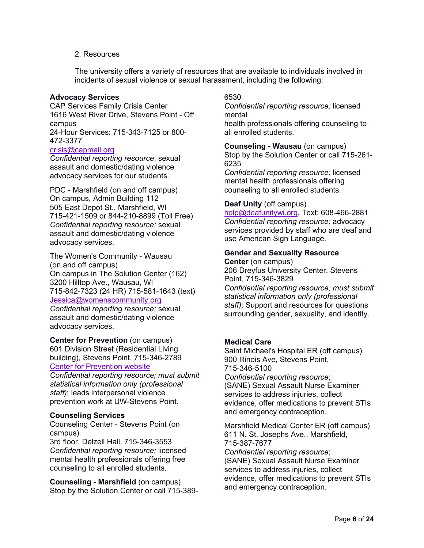## 2. Resources

The university offers a variety of resources that are available to individuals involved in incidents of sexual violence or sexual harassment, including the following:

#### **Advocacy Services**

CAP Services Family Crisis Center 1616 West River Drive, Stevens Point - Off campus 24-Hour Services: 715-343-7125 or 800-

#### 472-3377 [crisis@capmail.org](mailto:crisis@capmail.org)

*Confidential reporting resource*; sexual assault and domestic/dating violence advocacy services for our students.

PDC - Marshfield (on and off campus) On campus, Admin Building 112 505 East Depot St., Marshfield, WI 715-421-1509 or 844-210-8899 (Toll Free) *Confidential reporting resource;* sexual assault and domestic/dating violence advocacy services.

The Women's Community - Wausau (on and off campus) On campus in The Solution Center (162) 3200 Hilltop Ave., Wausau, WI 715-842-7323 (24 HR) 715-581-1643 (text) [Jessica@womenscommunity.org](mailto:Jessica@womenscommunity.org) *Confidential reporting resource;* sexual

assault and domestic/dating violence advocacy services.

**Center for Prevention** (on campus) 601 Division Street (Residential Living building), Stevens Point, 715-346-2789 [Center for Prevention website](https://www.uwsp.edu/dos/aoda-ipv/Pages/default.aspx)

*Confidential reporting resource; must submit statistical information only (professional staff)*; leads interpersonal violence prevention work at UW-Stevens Point.

#### **Counseling Services**

Counseling Center - Stevens Point (on campus)

3rd floor, Delzell Hall, 715-346-3553 *Confidential reporting resource;* licensed mental health professionals offering free counseling to all enrolled students.

**Counseling - Marshfield** (on campus) Stop by the Solution Center or call 715-389-

## 6530

*Confidential reporting resource;* licensed mental

health professionals offering counseling to all enrolled students.

**Counseling - Wausau** (on campus) Stop by the Solution Center or call 715-261- 6235

*Confidential reporting resource;* licensed mental health professionals offering counseling to all enrolled students.

## **Deaf Unity** (off campus)

[help@deafunitywi.org,](mailto:help@deafunitywi.org) Text: 608-466-2881 *Confidential reporting resource;* advocacy services provided by staff who are deaf and use American Sign Language.

## **Gender and Sexuality Resource**

**Center** (on campus) 206 Dreyfus University Center, Stevens Point, 715-346-3829 *Confidential reporting resource; must submit statistical information only (professional staff)*; Support and resources for questions surrounding gender, sexuality, and identity.

## **Medical Care**

Saint Michael's Hospital ER (off campus) 900 Illinois Ave, Stevens Point, 715-346-5100 *Confidential reporting resource*; (SANE) Sexual Assault Nurse Examiner services to address injuries, collect evidence, offer medications to prevent STIs and emergency contraception.

Marshfield Medical Center ER (off campus) 611 N. St. Josephs Ave., Marshfield, 715-387-7677 *Confidential reporting resource*; (SANE) Sexual Assault Nurse Examiner services to address injuries, collect evidence, offer medications to prevent STIs and emergency contraception.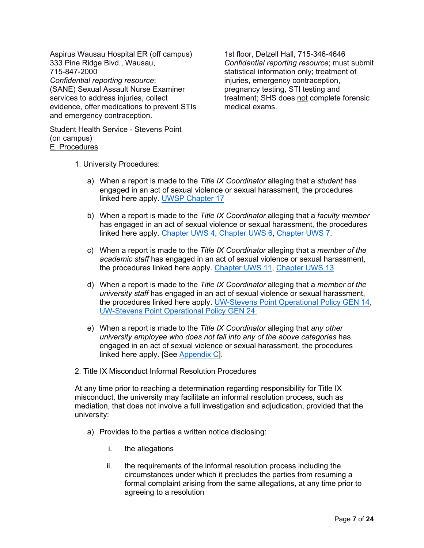Aspirus Wausau Hospital ER (off campus) 333 Pine Ridge Blvd., Wausau, 715-847-2000 *Confidential reporting resource*; (SANE) Sexual Assault Nurse Examiner services to address injuries, collect evidence, offer medications to prevent STIs and emergency contraception.

1st floor, Delzell Hall, 715-346-4646 *Confidential reporting resource*; must submit statistical information only; treatment of injuries, emergency contraception, pregnancy testing, STI testing and treatment; SHS does not complete forensic medical exams.

Student Health Service - Stevens Point (on campus) E. Procedures

- 1. University Procedures:
	- a) When a report is made to the *Title IX Coordinator* alleging that a *student* has engaged in an act of sexual violence or sexual harassment, the procedures linked here apply. [UWSP Chapter 17](https://www.uwsp.edu/dos/Documents/UWSP-CH17-Updated-August2020.pdf)
	- b) When a report is made to the *Title IX Coordinator* alleging that a *faculty member* has engaged in an act of sexual violence or sexual harassment, the procedures linked here apply. [Chapter UWS 4,](https://www.uwsp.edu/titleIX/Documents/Interim-Chapter-UWS4.pdf) [Chapter UWS 6,](https://docs.legis.wisconsin.gov/code/admin_code/uws/6) [Chapter UWS 7.](https://www.uwsp.edu/titleIX/Documents/Interim-Chapter-UWS7.pdf)
	- c) When a report is made to the *Title IX Coordinator* alleging that a *member of the academic staff* has engaged in an act of sexual violence or sexual harassment, the procedures linked here apply. [Chapter UWS 11,](https://www.uwsp.edu/titleIX/Documents/Interim-Chapter-UWS11.pdf) [Chapter UWS 13](https://docs.legis.wisconsin.gov/code/admin_code/uws/13)
	- d) When a report is made to the *Title IX Coordinator* alleging that a *member of the university staff* has engaged in an act of sexual violence or sexual harassment, the procedures linked here apply. UW-Stevens Point [Operational Policy GEN 14,](https://www.uwsp.edu/hr/Documents/Grievance%20Procedures.pdf) [UW-Stevens Point Operational Policy GEN 24](https://www.uwsp.edu/hr/Documents/University%20Staff%20Disciplinary%20Policy.pdf)
	- e) When a report is made to the *Title IX Coordinator* alleging that *any other university employee who does not fall into any of the above categories* has engaged in an act of sexual violence or sexual harassment, the procedures linked here apply. [See [Appendix C\]](#page-15-0).
- 2. Title IX Misconduct Informal Resolution Procedures

At any time prior to reaching a determination regarding responsibility for Title IX misconduct, the university may facilitate an informal resolution process, such as mediation, that does not involve a full investigation and adjudication, provided that the university:

- a) Provides to the parties a written notice disclosing:
	- i. the allegations
	- ii. the requirements of the informal resolution process including the circumstances under which it precludes the parties from resuming a formal complaint arising from the same allegations, at any time prior to agreeing to a resolution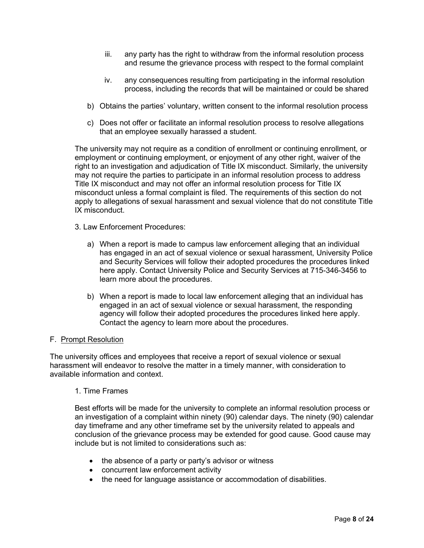- iii. any party has the right to withdraw from the informal resolution process and resume the grievance process with respect to the formal complaint
- iv. any consequences resulting from participating in the informal resolution process, including the records that will be maintained or could be shared
- b) Obtains the parties' voluntary, written consent to the informal resolution process
- c) Does not offer or facilitate an informal resolution process to resolve allegations that an employee sexually harassed a student.

The university may not require as a condition of enrollment or continuing enrollment, or employment or continuing employment, or enjoyment of any other right, waiver of the right to an investigation and adjudication of Title IX misconduct. Similarly, the university may not require the parties to participate in an informal resolution process to address Title IX misconduct and may not offer an informal resolution process for Title IX misconduct unless a formal complaint is filed. The requirements of this section do not apply to allegations of sexual harassment and sexual violence that do not constitute Title IX misconduct.

- 3. Law Enforcement Procedures:
	- a) When a report is made to campus law enforcement alleging that an individual has engaged in an act of sexual violence or sexual harassment, University Police and Security Services will follow their adopted procedures the procedures linked here apply. Contact University Police and Security Services at 715-346-3456 to learn more about the procedures.
	- b) When a report is made to local law enforcement alleging that an individual has engaged in an act of sexual violence or sexual harassment, the responding agency will follow their adopted procedures the procedures linked here apply. Contact the agency to learn more about the procedures.

#### F. Prompt Resolution

The university offices and employees that receive a report of sexual violence or sexual harassment will endeavor to resolve the matter in a timely manner, with consideration to available information and context.

## 1. Time Frames

Best efforts will be made for the university to complete an informal resolution process or an investigation of a complaint within ninety (90) calendar days. The ninety (90) calendar day timeframe and any other timeframe set by the university related to appeals and conclusion of the grievance process may be extended for good cause. Good cause may include but is not limited to considerations such as:

- the absence of a party or party's advisor or witness
- concurrent law enforcement activity
- the need for language assistance or accommodation of disabilities.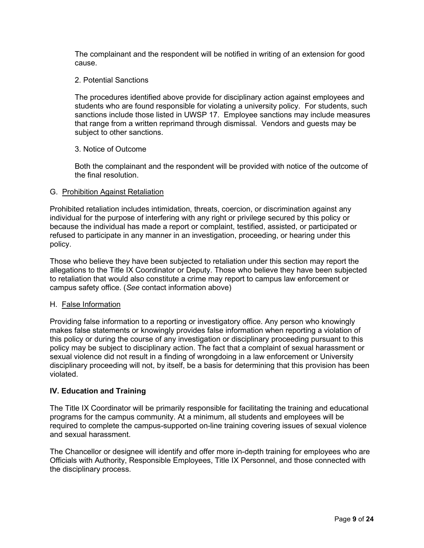The complainant and the respondent will be notified in writing of an extension for good cause.

## 2. Potential Sanctions

The procedures identified above provide for disciplinary action against employees and students who are found responsible for violating a university policy. For students, such sanctions include those listed in UWSP 17. Employee sanctions may include measures that range from a written reprimand through dismissal. Vendors and guests may be subject to other sanctions.

## 3. Notice of Outcome

Both the complainant and the respondent will be provided with notice of the outcome of the final resolution.

#### G. Prohibition Against Retaliation

Prohibited retaliation includes intimidation, threats, coercion, or discrimination against any individual for the purpose of interfering with any right or privilege secured by this policy or because the individual has made a report or complaint, testified, assisted, or participated or refused to participate in any manner in an investigation, proceeding, or hearing under this policy.

Those who believe they have been subjected to retaliation under this section may report the allegations to the Title IX Coordinator or Deputy. Those who believe they have been subjected to retaliation that would also constitute a crime may report to campus law enforcement or campus safety office. (*See* contact information above)

#### H. False Information

Providing false information to a reporting or investigatory office. Any person who knowingly makes false statements or knowingly provides false information when reporting a violation of this policy or during the course of any investigation or disciplinary proceeding pursuant to this policy may be subject to disciplinary action. The fact that a complaint of sexual harassment or sexual violence did not result in a finding of wrongdoing in a law enforcement or University disciplinary proceeding will not, by itself, be a basis for determining that this provision has been violated.

## **IV. Education and Training**

The Title IX Coordinator will be primarily responsible for facilitating the training and educational programs for the campus community. At a minimum, all students and employees will be required to complete the campus-supported on-line training covering issues of sexual violence and sexual harassment.

The Chancellor or designee will identify and offer more in-depth training for employees who are Officials with Authority, Responsible Employees, Title IX Personnel, and those connected with the disciplinary process.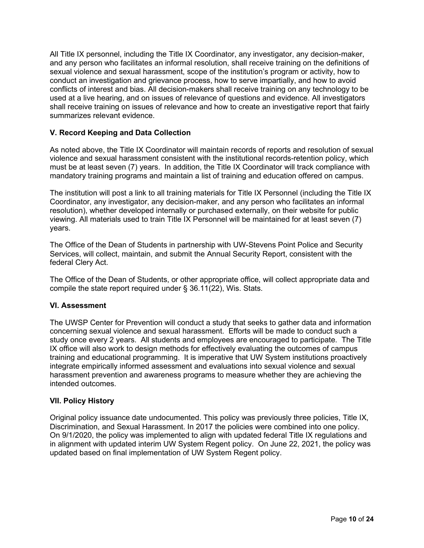All Title IX personnel, including the Title IX Coordinator, any investigator, any decision-maker, and any person who facilitates an informal resolution, shall receive training on the definitions of sexual violence and sexual harassment, scope of the institution's program or activity, how to conduct an investigation and grievance process, how to serve impartially, and how to avoid conflicts of interest and bias. All decision-makers shall receive training on any technology to be used at a live hearing, and on issues of relevance of questions and evidence. All investigators shall receive training on issues of relevance and how to create an investigative report that fairly summarizes relevant evidence.

## **V. Record Keeping and Data Collection**

As noted above, the Title IX Coordinator will maintain records of reports and resolution of sexual violence and sexual harassment consistent with the institutional records-retention policy, which must be at least seven (7) years. In addition, the Title IX Coordinator will track compliance with mandatory training programs and maintain a list of training and education offered on campus.

The institution will post a link to all training materials for Title IX Personnel (including the Title IX Coordinator, any investigator, any decision-maker, and any person who facilitates an informal resolution), whether developed internally or purchased externally, on their website for public viewing. All materials used to train Title IX Personnel will be maintained for at least seven (7) years.

The Office of the Dean of Students in partnership with UW-Stevens Point Police and Security Services, will collect, maintain, and submit the Annual Security Report, consistent with the federal Clery Act.

The Office of the Dean of Students, or other appropriate office, will collect appropriate data and compile the state report required under § 36.11(22), Wis. Stats.

## **VI. Assessment**

The UWSP Center for Prevention will conduct a study that seeks to gather data and information concerning sexual violence and sexual harassment. Efforts will be made to conduct such a study once every 2 years. All students and employees are encouraged to participate. The Title IX office will also work to design methods for effectively evaluating the outcomes of campus training and educational programming. It is imperative that UW System institutions proactively integrate empirically informed assessment and evaluations into sexual violence and sexual harassment prevention and awareness programs to measure whether they are achieving the intended outcomes.

## **VII. Policy History**

Original policy issuance date undocumented. This policy was previously three policies, Title IX, Discrimination, and Sexual Harassment. In 2017 the policies were combined into one policy. On 9/1/2020, the policy was implemented to align with updated federal Title IX regulations and in alignment with updated interim UW System Regent policy. On June 22, 2021, the policy was updated based on final implementation of UW System Regent policy.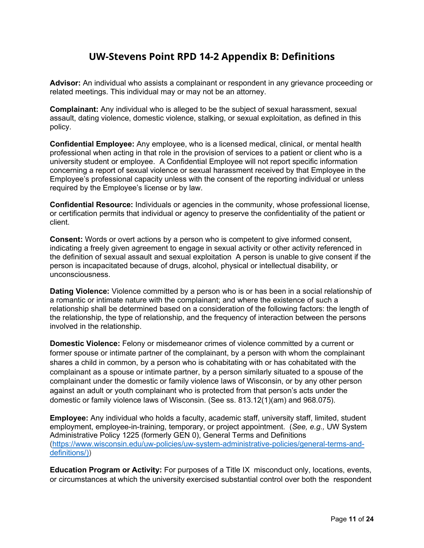## **UW-Stevens Point RPD 14-2 Appendix B: Definitions**

<span id="page-10-0"></span>**Advisor:** An individual who assists a complainant or respondent in any grievance proceeding or related meetings. This individual may or may not be an attorney.

**Complainant:** Any individual who is alleged to be the subject of sexual harassment, sexual assault, dating violence, domestic violence, stalking, or sexual exploitation, as defined in this policy.

**Confidential Employee:** Any employee, who is a licensed medical, clinical, or mental health professional when acting in that role in the provision of services to a patient or client who is a university student or employee. A Confidential Employee will not report specific information concerning a report of sexual violence or sexual harassment received by that Employee in the Employee's professional capacity unless with the consent of the reporting individual or unless required by the Employee's license or by law.

**Confidential Resource:** Individuals or agencies in the community, whose professional license, or certification permits that individual or agency to preserve the confidentiality of the patient or client.

**Consent:** Words or overt actions by a person who is competent to give informed consent, indicating a freely given agreement to engage in sexual activity or other activity referenced in the definition of sexual assault and sexual exploitation A person is unable to give consent if the person is incapacitated because of drugs, alcohol, physical or intellectual disability, or unconsciousness.

**Dating Violence:** Violence committed by a person who is or has been in a social relationship of a romantic or intimate nature with the complainant; and where the existence of such a relationship shall be determined based on a consideration of the following factors: the length of the relationship, the type of relationship, and the frequency of interaction between the persons involved in the relationship.

**Domestic Violence:** Felony or misdemeanor crimes of violence committed by a current or former spouse or intimate partner of the complainant, by a person with whom the complainant shares a child in common, by a person who is cohabitating with or has cohabitated with the complainant as a spouse or intimate partner, by a person similarly situated to a spouse of the complainant under the domestic or family violence laws of Wisconsin, or by any other person against an adult or youth complainant who is protected from that person's acts under the domestic or family violence laws of Wisconsin. (See ss. 813.12(1)(am) and 968.075).

**Employee:** Any individual who holds a faculty, academic staff, university staff, limited, student employment, employee-in-training, temporary, or project appointment. (*See, e.g.,* UW System Administrative Policy 1225 (formerly GEN 0), General Terms and Definitions [\(https://www.wisconsin.edu/uw-policies/uw-system-administrative-policies/general-terms-and](https://www.wisconsin.edu/uw-policies/uw-system-administrative-policies/general-terms-and-definitions/))[definitions/\)\)](https://www.wisconsin.edu/uw-policies/uw-system-administrative-policies/general-terms-and-definitions/))

**Education Program or Activity:** For purposes of a Title IX misconduct only, locations, events, or circumstances at which the university exercised substantial control over both the respondent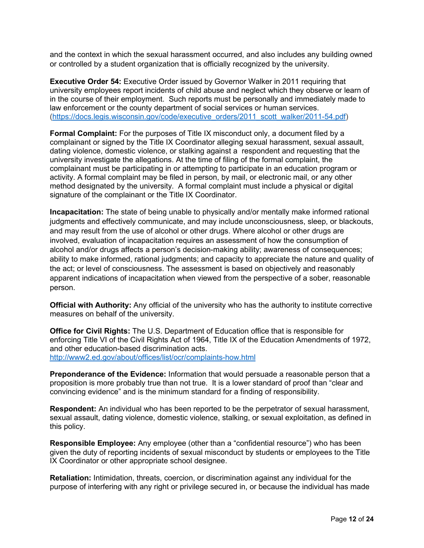and the context in which the sexual harassment occurred, and also includes any building owned or controlled by a student organization that is officially recognized by the university.

**Executive Order 54:** Executive Order issued by Governor Walker in 2011 requiring that university employees report incidents of child abuse and neglect which they observe or learn of in the course of their employment. Such reports must be personally and immediately made to law enforcement or the county department of social services or human services. [\(https://docs.legis.wisconsin.gov/code/executive\\_orders/2011\\_scott\\_walker/2011-54.pdf\)](https://docs.legis.wisconsin.gov/code/executive_orders/2011_scott_walker/2011-54.pdf)

**Formal Complaint:** For the purposes of Title IX misconduct only, a document filed by a complainant or signed by the Title IX Coordinator alleging sexual harassment, sexual assault, dating violence, domestic violence, or stalking against a respondent and requesting that the university investigate the allegations. At the time of filing of the formal complaint, the complainant must be participating in or attempting to participate in an education program or activity. A formal complaint may be filed in person, by mail, or electronic mail, or any other method designated by the university. A formal complaint must include a physical or digital signature of the complainant or the Title IX Coordinator.

**Incapacitation:** The state of being unable to physically and/or mentally make informed rational judgments and effectively communicate, and may include unconsciousness, sleep, or blackouts, and may result from the use of alcohol or other drugs. Where alcohol or other drugs are involved, evaluation of incapacitation requires an assessment of how the consumption of alcohol and/or drugs affects a person's decision-making ability; awareness of consequences; ability to make informed, rational judgments; and capacity to appreciate the nature and quality of the act; or level of consciousness. The assessment is based on objectively and reasonably apparent indications of incapacitation when viewed from the perspective of a sober, reasonable person.

**Official with Authority:** Any official of the university who has the authority to institute corrective measures on behalf of the university.

**Office for Civil Rights:** The U.S. Department of Education office that is responsible for enforcing Title VI of the Civil Rights Act of 1964. Title IX of the Education Amendments of 1972. and other education-based discrimination acts. <http://www2.ed.gov/about/offices/list/ocr/complaints-how.html>

**Preponderance of the Evidence:** Information that would persuade a reasonable person that a proposition is more probably true than not true. It is a lower standard of proof than "clear and convincing evidence" and is the minimum standard for a finding of responsibility.

**Respondent:** An individual who has been reported to be the perpetrator of sexual harassment, sexual assault, dating violence, domestic violence, stalking, or sexual exploitation, as defined in this policy.

**Responsible Employee:** Any employee (other than a "confidential resource") who has been given the duty of reporting incidents of sexual misconduct by students or employees to the Title IX Coordinator or other appropriate school designee.

**Retaliation:** Intimidation, threats, coercion, or discrimination against any individual for the purpose of interfering with any right or privilege secured in, or because the individual has made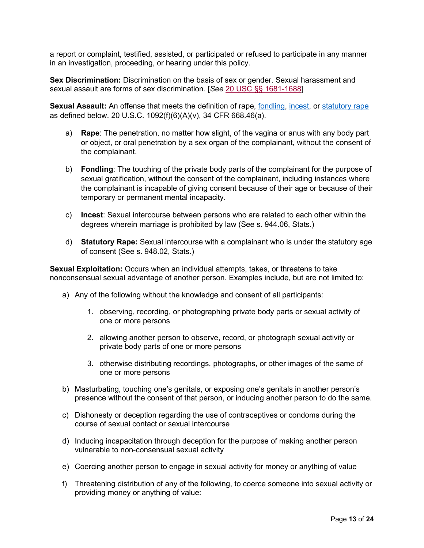a report or complaint, testified, assisted, or participated or refused to participate in any manner in an investigation, proceeding, or hearing under this policy.

**Sex Discrimination:** Discrimination on the basis of sex or gender. Sexual harassment and sexual assault are forms of sex discrimination. [*See* [20 USC §§ 1681-1688\]](https://www.law.cornell.edu/uscode/text/20/1681)

**Sexual Assault:** An offense that meets the definition of rape, [fondling,](https://www.law.cornell.edu/definitions/index.php?width=840&height=800&iframe=true&def_id=3112f914903fb64936d08c8c15e2ea59&term_occur=999&term_src=Title:34:Subtitle:B:Chapter:VI:Part:668:Subpart:D:668.46) [incest,](https://www.law.cornell.edu/definitions/index.php?width=840&height=800&iframe=true&def_id=5ee45180f812d62eecc4e6aa2a0693b4&term_occur=999&term_src=Title:34:Subtitle:B:Chapter:VI:Part:668:Subpart:D:668.46) or [statutory rape](https://www.law.cornell.edu/definitions/index.php?width=840&height=800&iframe=true&def_id=d378725adf04ddf1e40cd14d6e338cca&term_occur=999&term_src=Title:34:Subtitle:B:Chapter:VI:Part:668:Subpart:D:668.46) as defined below. 20 U.S.C. 1092(f)(6)(A)(v), 34 CFR 668.46(a).

- a) **Rape**: The penetration, no matter how slight, of the vagina or anus with any body part or object, or oral penetration by a sex organ of the complainant, without the consent of the complainant.
- b) **Fondling**: The touching of the private body parts of the complainant for the purpose of sexual gratification, without the consent of the complainant, including instances where the complainant is incapable of giving consent because of their age or because of their temporary or permanent mental incapacity.
- c) **Incest**: Sexual intercourse between persons who are related to each other within the degrees wherein marriage is prohibited by law (See s. 944.06, Stats.)
- d) **Statutory Rape:** Sexual intercourse with a complainant who is under the statutory age of consent (See s. 948.02, Stats.)

**Sexual Exploitation:** Occurs when an individual attempts, takes, or threatens to take nonconsensual sexual advantage of another person. Examples include, but are not limited to:

- a) Any of the following without the knowledge and consent of all participants:
	- 1. observing, recording, or photographing private body parts or sexual activity of one or more persons
	- 2. allowing another person to observe, record, or photograph sexual activity or private body parts of one or more persons
	- 3. otherwise distributing recordings, photographs, or other images of the same of one or more persons
- b) Masturbating, touching one's genitals, or exposing one's genitals in another person's presence without the consent of that person, or inducing another person to do the same.
- c) Dishonesty or deception regarding the use of contraceptives or condoms during the course of sexual contact or sexual intercourse
- d) Inducing incapacitation through deception for the purpose of making another person vulnerable to non-consensual sexual activity
- e) Coercing another person to engage in sexual activity for money or anything of value
- f) Threatening distribution of any of the following, to coerce someone into sexual activity or providing money or anything of value: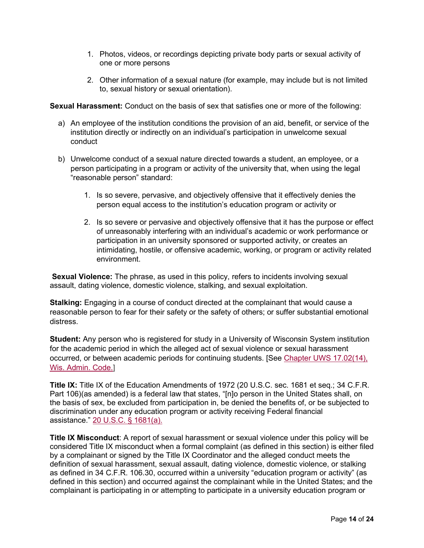- 1. Photos, videos, or recordings depicting private body parts or sexual activity of one or more persons
- 2. Other information of a sexual nature (for example, may include but is not limited to, sexual history or sexual orientation).

**Sexual Harassment:** Conduct on the basis of sex that satisfies one or more of the following:

- a) An employee of the institution conditions the provision of an aid, benefit, or service of the institution directly or indirectly on an individual's participation in unwelcome sexual conduct
- b) Unwelcome conduct of a sexual nature directed towards a student, an employee, or a person participating in a program or activity of the university that, when using the legal "reasonable person" standard:
	- 1. Is so severe, pervasive, and objectively offensive that it effectively denies the person equal access to the institution's education program or activity or
	- 2. Is so severe or pervasive and objectively offensive that it has the purpose or effect of unreasonably interfering with an individual's academic or work performance or participation in an university sponsored or supported activity, or creates an intimidating, hostile, or offensive academic, working, or program or activity related environment.

**Sexual Violence:** The phrase, as used in this policy, refers to incidents involving sexual assault, dating violence, domestic violence, stalking, and sexual exploitation.

**Stalking:** Engaging in a course of conduct directed at the complainant that would cause a reasonable person to fear for their safety or the safety of others; or suffer substantial emotional distress.

**Student:** Any person who is registered for study in a University of Wisconsin System institution for the academic period in which the alleged act of sexual violence or sexual harassment occurred, or between academic periods for continuing students. [See [Chapter UWS 17.02\(14\),](https://docs.legis.wisconsin.gov/code/admin_code/uws/17/02?view=section)  [Wis. Admin. Code.\]](https://docs.legis.wisconsin.gov/code/admin_code/uws/17/02?view=section)

**Title IX:** Title IX of the Education Amendments of 1972 (20 U.S.C. sec. 1681 et seq.; 34 C.F.R. Part 106)(as amended) is a federal law that states, "[n]o person in the United States shall, on the basis of sex, be excluded from participation in, be denied the benefits of, or be subjected to discrimination under any education program or activity receiving Federal financial assistance." [20 U.S.C. § 1681\(a\).](https://www.law.cornell.edu/uscode/text/20/1681)

**Title IX Misconduct**: A report of sexual harassment or sexual violence under this policy will be considered Title IX misconduct when a formal complaint (as defined in this section) is either filed by a complainant or signed by the Title IX Coordinator and the alleged conduct meets the definition of sexual harassment, sexual assault, dating violence, domestic violence, or stalking as defined in 34 C.F.R. 106.30, occurred within a university "education program or activity" (as defined in this section) and occurred against the complainant while in the United States; and the complainant is participating in or attempting to participate in a university education program or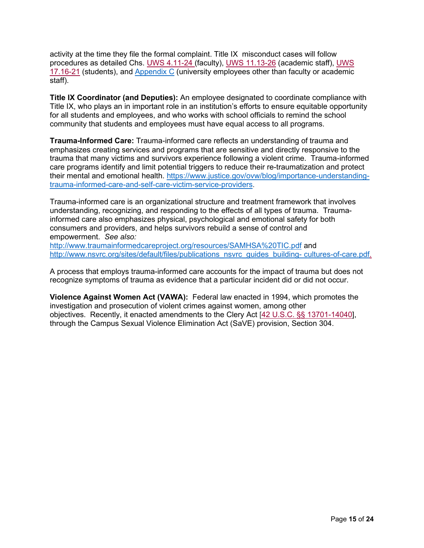activity at the time they file the formal complaint. Title IX misconduct cases will follow procedures as detailed Chs. [UWS 4.11-24](https://docs.legis.wisconsin.gov/code/admin_code/uws/4/015?view=section) (faculty), [UWS 11.13-](https://docs.legis.wisconsin.gov/code/admin_code/uws/11/015?view=section)26 (academic staff), [UWS](https://docs.legis.wisconsin.gov/code/admin_code/uws/17/02?view=section) 17.16-21 (students), and [Appendix C](#page-15-0) (university employees other than faculty or academic staff).

**Title IX Coordinator (and Deputies):** An employee designated to coordinate compliance with Title IX, who plays an in important role in an institution's efforts to ensure equitable opportunity for all students and employees, and who works with school officials to remind the school community that students and employees must have equal access to all programs.

**Trauma-Informed Care:** Trauma-informed care reflects an understanding of trauma and emphasizes creating services and programs that are sensitive and directly responsive to the trauma that many victims and survivors experience following a violent crime. Trauma-informed care programs identify and limit potential triggers to reduce their re-traumatization and protect their mental and emotional health. [https://www.justice.gov/ovw/blog/importance-understanding](https://www.justice.gov/ovw/blog/importance-understanding-trauma-informed-care-and-self-care-victim-service-providers)[trauma-informed-care-and-self-care-victim-service-providers.](https://www.justice.gov/ovw/blog/importance-understanding-trauma-informed-care-and-self-care-victim-service-providers)

Trauma-informed care is an organizational structure and treatment framework that involves understanding, recognizing, and responding to the effects of all types of trauma. Traumainformed care also emphasizes physical, psychological and emotional safety for both consumers and providers, and helps survivors rebuild a sense of control and empowerment. *See also:*

<http://www.traumainformedcareproject.org/resources/SAMHSA%20TIC.pdf> and [http://www.nsvrc.org/sites/default/files/publications\\_nsvrc\\_guides\\_building-](http://www.nsvrc.org/sites/default/files/publications_nsvrc_guides_building-%20cultures-of-care.pdf) cultures-of-care.pdf.

A process that employs trauma-informed care accounts for the impact of trauma but does not recognize symptoms of trauma as evidence that a particular incident did or did not occur.

**Violence Against Women Act (VAWA):** Federal law enacted in 1994, which promotes the investigation and prosecution of violent crimes against women, among other objectives. Recently, it enacted amendments to the Clery Act [\[42 U.S.C. §§ 13701-14040\]](https://www.law.cornell.edu/uscode/text/42/13701), through the Campus Sexual Violence Elimination Act (SaVE) provision, Section 304.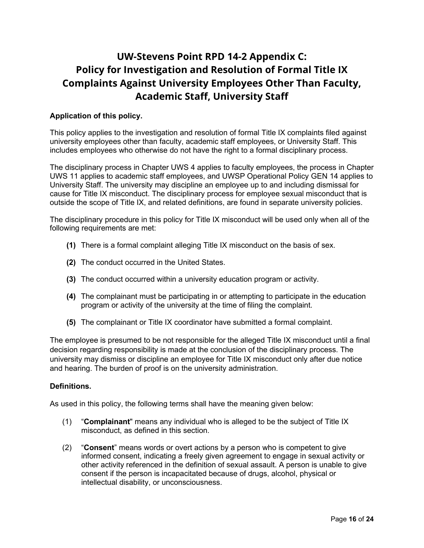## <span id="page-15-0"></span>**UW-Stevens Point RPD 14-2 Appendix C: Policy for Investigation and Resolution of Formal Title IX Complaints Against University Employees Other Than Faculty, Academic Staff, University Staff**

## **Application of this policy.**

This policy applies to the investigation and resolution of formal Title IX complaints filed against university employees other than faculty, academic staff employees, or University Staff. This includes employees who otherwise do not have the right to a formal disciplinary process.

The disciplinary process in Chapter UWS 4 applies to faculty employees, the process in Chapter UWS 11 applies to academic staff employees, and UWSP Operational Policy GEN 14 applies to University Staff. The university may discipline an employee up to and including dismissal for cause for Title IX misconduct. The disciplinary process for employee sexual misconduct that is outside the scope of Title IX, and related definitions, are found in separate university policies.

The disciplinary procedure in this policy for Title IX misconduct will be used only when all of the following requirements are met:

- **(1)** There is a formal complaint alleging Title IX misconduct on the basis of sex.
- **(2)** The conduct occurred in the United States.
- **(3)** The conduct occurred within a university education program or activity.
- **(4)** The complainant must be participating in or attempting to participate in the education program or activity of the university at the time of filing the complaint.
- **(5)** The complainant or Title IX coordinator have submitted a formal complaint.

The employee is presumed to be not responsible for the alleged Title IX misconduct until a final decision regarding responsibility is made at the conclusion of the disciplinary process. The university may dismiss or discipline an employee for Title IX misconduct only after due notice and hearing. The burden of proof is on the university administration.

#### **Definitions.**

As used in this policy, the following terms shall have the meaning given below:

- (1) "**Complainant**" means any individual who is alleged to be the subject of Title IX misconduct, as defined in this section.
- (2) "**Consent**" means words or overt actions by a person who is competent to give informed consent, indicating a freely given agreement to engage in sexual activity or other activity referenced in the definition of sexual assault. A person is unable to give consent if the person is incapacitated because of drugs, alcohol, physical or intellectual disability, or unconsciousness.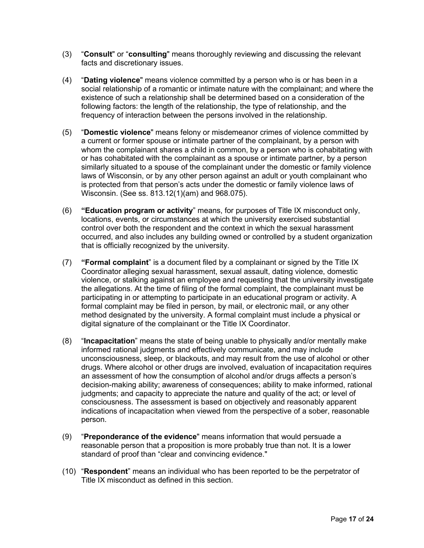- (3) "**Consult**" or "**consulting**" means thoroughly reviewing and discussing the relevant facts and discretionary issues.
- (4) "**Dating violence**" means violence committed by a person who is or has been in a social relationship of a romantic or intimate nature with the complainant; and where the existence of such a relationship shall be determined based on a consideration of the following factors: the length of the relationship, the type of relationship, and the frequency of interaction between the persons involved in the relationship.
- (5) "**Domestic violence**" means felony or misdemeanor crimes of violence committed by a current or former spouse or intimate partner of the complainant, by a person with whom the complainant shares a child in common, by a person who is cohabitating with or has cohabitated with the complainant as a spouse or intimate partner, by a person similarly situated to a spouse of the complainant under the domestic or family violence laws of Wisconsin, or by any other person against an adult or youth complainant who is protected from that person's acts under the domestic or family violence laws of Wisconsin. (See ss. 813.12(1)(am) and 968.075).
- (6) **"Education program or activity**" means, for purposes of Title IX misconduct only, locations, events, or circumstances at which the university exercised substantial control over both the respondent and the context in which the sexual harassment occurred, and also includes any building owned or controlled by a student organization that is officially recognized by the university.
- (7) **"Formal complaint**" is a document filed by a complainant or signed by the Title IX Coordinator alleging sexual harassment, sexual assault, dating violence, domestic violence, or stalking against an employee and requesting that the university investigate the allegations. At the time of filing of the formal complaint, the complainant must be participating in or attempting to participate in an educational program or activity. A formal complaint may be filed in person, by mail, or electronic mail, or any other method designated by the university. A formal complaint must include a physical or digital signature of the complainant or the Title IX Coordinator.
- (8) "**Incapacitation**" means the state of being unable to physically and/or mentally make informed rational judgments and effectively communicate, and may include unconsciousness, sleep, or blackouts, and may result from the use of alcohol or other drugs. Where alcohol or other drugs are involved, evaluation of incapacitation requires an assessment of how the consumption of alcohol and/or drugs affects a person's decision-making ability; awareness of consequences; ability to make informed, rational judgments; and capacity to appreciate the nature and quality of the act; or level of consciousness. The assessment is based on objectively and reasonably apparent indications of incapacitation when viewed from the perspective of a sober, reasonable person.
- (9) "**Preponderance of the evidence**" means information that would persuade a reasonable person that a proposition is more probably true than not. It is a lower standard of proof than "clear and convincing evidence."
- (10) "**Respondent**" means an individual who has been reported to be the perpetrator of Title IX misconduct as defined in this section.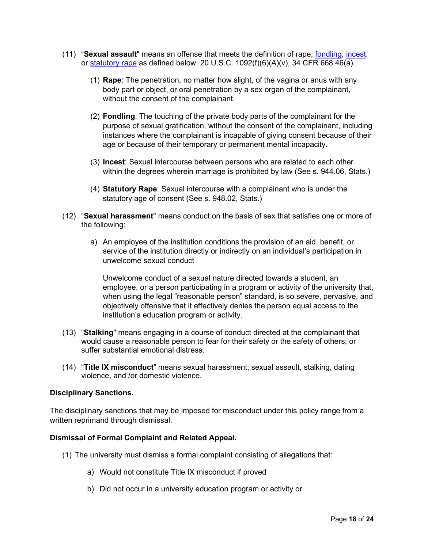- (11) "**Sexual assault**" means an offense that meets the definition of rape, [fondling,](https://www.law.cornell.edu/definitions/index.php?width=840&height=800&iframe=true&def_id=3112f914903fb64936d08c8c15e2ea59&term_occur=999&term_src=Title:34:Subtitle:B:Chapter:VI:Part:668:Subpart:D:668.46) [incest,](https://www.law.cornell.edu/definitions/index.php?width=840&height=800&iframe=true&def_id=5ee45180f812d62eecc4e6aa2a0693b4&term_occur=999&term_src=Title:34:Subtitle:B:Chapter:VI:Part:668:Subpart:D:668.46) or [statutory rape](https://www.law.cornell.edu/definitions/index.php?width=840&height=800&iframe=true&def_id=d378725adf04ddf1e40cd14d6e338cca&term_occur=999&term_src=Title:34:Subtitle:B:Chapter:VI:Part:668:Subpart:D:668.46) as defined below. 20 U.S.C.  $1092(f)(6)(A)(v)$ , 34 CFR 668.46(a).
	- (1) **Rape**: The penetration, no matter how slight, of the vagina or anus with any body part or object, or oral penetration by a sex organ of the complainant, without the consent of the complainant.
	- (2) **Fondling**: The touching of the private body parts of the complainant for the purpose of sexual gratification, without the consent of the complainant, including instances where the complainant is incapable of giving consent because of their age or because of their temporary or permanent mental incapacity.
	- (3) **Incest**: Sexual intercourse between persons who are related to each other within the degrees wherein marriage is prohibited by law (See s. 944.06, Stats.)
	- (4) **Statutory Rape**: Sexual intercourse with a complainant who is under the statutory age of consent (See s. 948.02, Stats.)
- (12) "**Sexual harassment**" means conduct on the basis of sex that satisfies one or more of the following:
	- a) An employee of the institution conditions the provision of an aid, benefit, or service of the institution directly or indirectly on an individual's participation in unwelcome sexual conduct

Unwelcome conduct of a sexual nature directed towards a student, an employee, or a person participating in a program or activity of the university that, when using the legal "reasonable person" standard, is so severe, pervasive, and objectively offensive that it effectively denies the person equal access to the institution's education program or activity.

- (13) "**Stalking**" means engaging in a course of conduct directed at the complainant that would cause a reasonable person to fear for their safety or the safety of others; or suffer substantial emotional distress.
- (14) "**Title IX misconduct**" means sexual harassment, sexual assault, stalking, dating violence, and /or domestic violence.

#### **Disciplinary Sanctions.**

The disciplinary sanctions that may be imposed for misconduct under this policy range from a written reprimand through dismissal.

#### **Dismissal of Formal Complaint and Related Appeal.**

- (1) The university must dismiss a formal complaint consisting of allegations that:
	- a) Would not constitute Title IX misconduct if proved
	- b) Did not occur in a university education program or activity or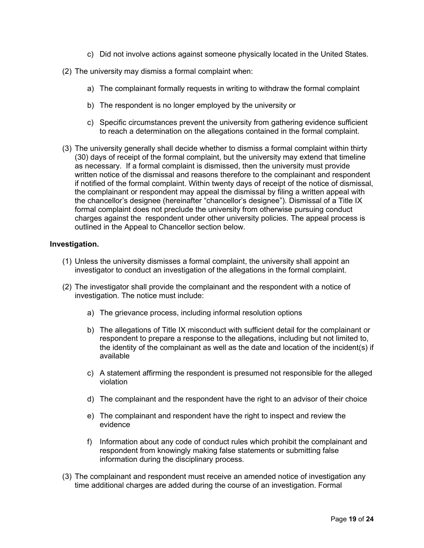- c) Did not involve actions against someone physically located in the United States.
- (2) The university may dismiss a formal complaint when:
	- a) The complainant formally requests in writing to withdraw the formal complaint
	- b) The respondent is no longer employed by the university or
	- c) Specific circumstances prevent the university from gathering evidence sufficient to reach a determination on the allegations contained in the formal complaint.
- (3) The university generally shall decide whether to dismiss a formal complaint within thirty (30) days of receipt of the formal complaint, but the university may extend that timeline as necessary. If a formal complaint is dismissed, then the university must provide written notice of the dismissal and reasons therefore to the complainant and respondent if notified of the formal complaint. Within twenty days of receipt of the notice of dismissal, the complainant or respondent may appeal the dismissal by filing a written appeal with the chancellor's designee (hereinafter "chancellor's designee"). Dismissal of a Title IX formal complaint does not preclude the university from otherwise pursuing conduct charges against the respondent under other university policies. The appeal process is outlined in the Appeal to Chancellor section below.

#### **Investigation.**

- (1) Unless the university dismisses a formal complaint, the university shall appoint an investigator to conduct an investigation of the allegations in the formal complaint.
- (2) The investigator shall provide the complainant and the respondent with a notice of investigation. The notice must include:
	- a) The grievance process, including informal resolution options
	- b) The allegations of Title IX misconduct with sufficient detail for the complainant or respondent to prepare a response to the allegations, including but not limited to, the identity of the complainant as well as the date and location of the incident(s) if available
	- c) A statement affirming the respondent is presumed not responsible for the alleged violation
	- d) The complainant and the respondent have the right to an advisor of their choice
	- e) The complainant and respondent have the right to inspect and review the evidence
	- f) Information about any code of conduct rules which prohibit the complainant and respondent from knowingly making false statements or submitting false information during the disciplinary process.
- (3) The complainant and respondent must receive an amended notice of investigation any time additional charges are added during the course of an investigation. Formal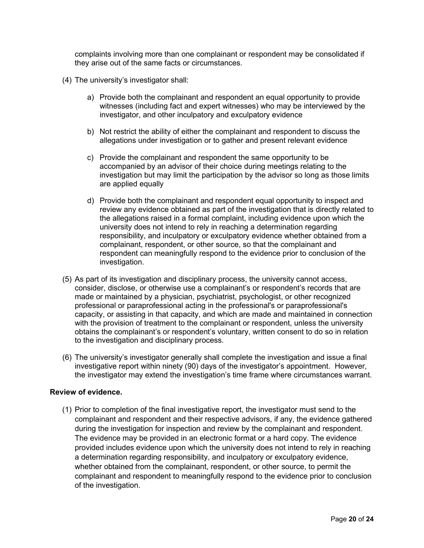complaints involving more than one complainant or respondent may be consolidated if they arise out of the same facts or circumstances.

- (4) The university's investigator shall:
	- a) Provide both the complainant and respondent an equal opportunity to provide witnesses (including fact and expert witnesses) who may be interviewed by the investigator, and other inculpatory and exculpatory evidence
	- b) Not restrict the ability of either the complainant and respondent to discuss the allegations under investigation or to gather and present relevant evidence
	- c) Provide the complainant and respondent the same opportunity to be accompanied by an advisor of their choice during meetings relating to the investigation but may limit the participation by the advisor so long as those limits are applied equally
	- d) Provide both the complainant and respondent equal opportunity to inspect and review any evidence obtained as part of the investigation that is directly related to the allegations raised in a formal complaint, including evidence upon which the university does not intend to rely in reaching a determination regarding responsibility, and inculpatory or exculpatory evidence whether obtained from a complainant, respondent, or other source, so that the complainant and respondent can meaningfully respond to the evidence prior to conclusion of the investigation.
- (5) As part of its investigation and disciplinary process, the university cannot access, consider, disclose, or otherwise use a complainant's or respondent's records that are made or maintained by a physician, psychiatrist, psychologist, or other recognized professional or paraprofessional acting in the professional's or paraprofessional's capacity, or assisting in that capacity, and which are made and maintained in connection with the provision of treatment to the complainant or respondent, unless the university obtains the complainant's or respondent's voluntary, written consent to do so in relation to the investigation and disciplinary process.
- (6) The university's investigator generally shall complete the investigation and issue a final investigative report within ninety (90) days of the investigator's appointment. However, the investigator may extend the investigation's time frame where circumstances warrant.

## **Review of evidence.**

(1) Prior to completion of the final investigative report, the investigator must send to the complainant and respondent and their respective advisors, if any, the evidence gathered during the investigation for inspection and review by the complainant and respondent. The evidence may be provided in an electronic format or a hard copy. The evidence provided includes evidence upon which the university does not intend to rely in reaching a determination regarding responsibility, and inculpatory or exculpatory evidence, whether obtained from the complainant, respondent, or other source, to permit the complainant and respondent to meaningfully respond to the evidence prior to conclusion of the investigation.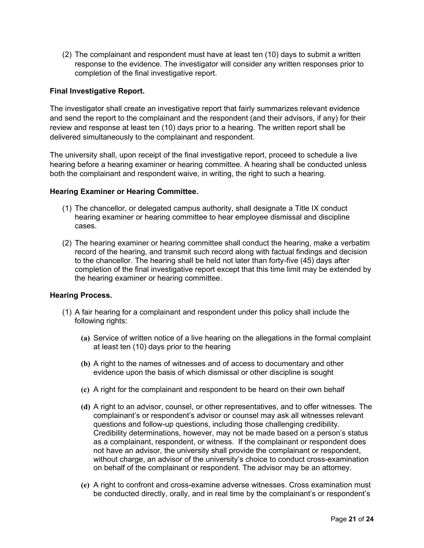(2) The complainant and respondent must have at least ten (10) days to submit a written response to the evidence. The investigator will consider any written responses prior to completion of the final investigative report.

## **Final Investigative Report.**

The investigator shall create an investigative report that fairly summarizes relevant evidence and send the report to the complainant and the respondent (and their advisors, if any) for their review and response at least ten (10) days prior to a hearing. The written report shall be delivered simultaneously to the complainant and respondent.

The university shall, upon receipt of the final investigative report, proceed to schedule a live hearing before a hearing examiner or hearing committee. A hearing shall be conducted unless both the complainant and respondent waive, in writing, the right to such a hearing.

## **Hearing Examiner or Hearing Committee.**

- (1) The chancellor, or delegated campus authority, shall designate a Title IX conduct hearing examiner or hearing committee to hear employee dismissal and discipline cases.
- (2) The hearing examiner or hearing committee shall conduct the hearing, make a verbatim record of the hearing, and transmit such record along with factual findings and decision to the chancellor. The hearing shall be held not later than forty-five (45) days after completion of the final investigative report except that this time limit may be extended by the hearing examiner or hearing committee.

#### **Hearing Process.**

- (1) A fair hearing for a complainant and respondent under this policy shall include the following rights:
	- **(a)** Service of written notice of a live hearing on the allegations in the formal complaint at least ten (10) days prior to the hearing
	- **(b)** A right to the names of witnesses and of access to documentary and other evidence upon the basis of which dismissal or other discipline is sought
	- **(c)** A right for the complainant and respondent to be heard on their own behalf
	- **(d)** A right to an advisor, counsel, or other representatives, and to offer witnesses. The complainant's or respondent's advisor or counsel may ask all witnesses relevant questions and follow-up questions, including those challenging credibility. Credibility determinations, however, may not be made based on a person's status as a complainant, respondent, or witness. If the complainant or respondent does not have an advisor, the university shall provide the complainant or respondent, without charge, an advisor of the university's choice to conduct cross-examination on behalf of the complainant or respondent. The advisor may be an attorney.
	- **(e)** A right to confront and cross-examine adverse witnesses. Cross examination must be conducted directly, orally, and in real time by the complainant's or respondent's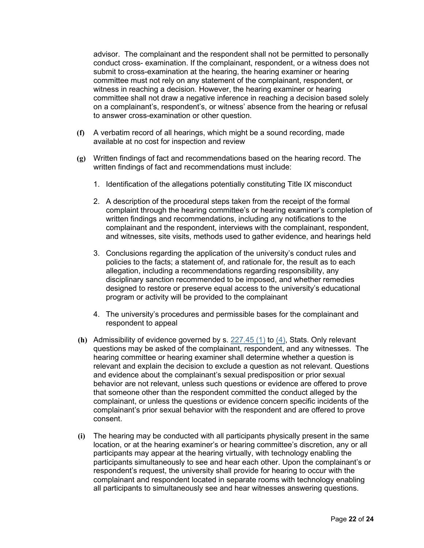advisor. The complainant and the respondent shall not be permitted to personally conduct cross- examination. If the complainant, respondent, or a witness does not submit to cross-examination at the hearing, the hearing examiner or hearing committee must not rely on any statement of the complainant, respondent, or witness in reaching a decision. However, the hearing examiner or hearing committee shall not draw a negative inference in reaching a decision based solely on a complainant's, respondent's, or witness' absence from the hearing or refusal to answer cross-examination or other question.

- **(f)** A verbatim record of all hearings, which might be a sound recording, made available at no cost for inspection and review
- **(g)** Written findings of fact and recommendations based on the hearing record. The written findings of fact and recommendations must include:
	- 1. Identification of the allegations potentially constituting Title IX misconduct
	- 2. A description of the procedural steps taken from the receipt of the formal complaint through the hearing committee's or hearing examiner's completion of written findings and recommendations, including any notifications to the complainant and the respondent, interviews with the complainant, respondent, and witnesses, site visits, methods used to gather evidence, and hearings held
	- 3. Conclusions regarding the application of the university's conduct rules and policies to the facts; a statement of, and rationale for, the result as to each allegation, including a recommendations regarding responsibility, any disciplinary sanction recommended to be imposed, and whether remedies designed to restore or preserve equal access to the university's educational program or activity will be provided to the complainant
	- 4. The university's procedures and permissible bases for the complainant and respondent to appeal
- **(h)** Admissibility of evidence governed by s. [227.45 \(1\)](http://docs.legis.wisconsin.gov/document/statutes/227.45(1)) to [\(4\),](http://docs.legis.wisconsin.gov/document/statutes/227.45(4)) Stats. Only relevant questions may be asked of the complainant, respondent, and any witnesses. The hearing committee or hearing examiner shall determine whether a question is relevant and explain the decision to exclude a question as not relevant. Questions and evidence about the complainant's sexual predisposition or prior sexual behavior are not relevant, unless such questions or evidence are offered to prove that someone other than the respondent committed the conduct alleged by the complainant, or unless the questions or evidence concern specific incidents of the complainant's prior sexual behavior with the respondent and are offered to prove consent.
- **(i)** The hearing may be conducted with all participants physically present in the same location, or at the hearing examiner's or hearing committee's discretion, any or all participants may appear at the hearing virtually, with technology enabling the participants simultaneously to see and hear each other. Upon the complainant's or respondent's request, the university shall provide for hearing to occur with the complainant and respondent located in separate rooms with technology enabling all participants to simultaneously see and hear witnesses answering questions.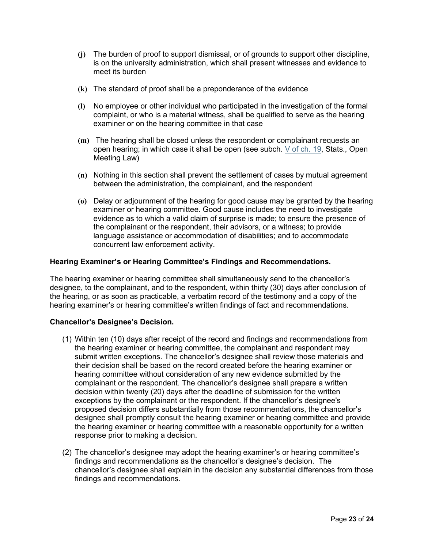- **(j)** The burden of proof to support dismissal, or of grounds to support other discipline, is on the university administration, which shall present witnesses and evidence to meet its burden
- **(k)** The standard of proof shall be a preponderance of the evidence
- **(l)** No employee or other individual who participated in the investigation of the formal complaint, or who is a material witness, shall be qualified to serve as the hearing examiner or on the hearing committee in that case
- **(m)** The hearing shall be closed unless the respondent or complainant requests an open hearing; in which case it shall be open (see subch. [V](http://docs.legis.wisconsin.gov/document/statutes/subch.%20V%20of%20ch.%2019) [of ch. 19,](http://docs.legis.wisconsin.gov/document/statutes/subch.%20V%20of%20ch.%2019) Stats., Open Meeting Law)
- **(n)** Nothing in this section shall prevent the settlement of cases by mutual agreement between the administration, the complainant, and the respondent
- **(o)** Delay or adjournment of the hearing for good cause may be granted by the hearing examiner or hearing committee. Good cause includes the need to investigate evidence as to which a valid claim of surprise is made; to ensure the presence of the complainant or the respondent, their advisors, or a witness; to provide language assistance or accommodation of disabilities; and to accommodate concurrent law enforcement activity.

#### **Hearing Examiner's or Hearing Committee's Findings and Recommendations.**

The hearing examiner or hearing committee shall simultaneously send to the chancellor's designee, to the complainant, and to the respondent, within thirty (30) days after conclusion of the hearing, or as soon as practicable, a verbatim record of the testimony and a copy of the hearing examiner's or hearing committee's written findings of fact and recommendations.

#### **Chancellor's Designee's Decision.**

- (1) Within ten (10) days after receipt of the record and findings and recommendations from the hearing examiner or hearing committee, the complainant and respondent may submit written exceptions. The chancellor's designee shall review those materials and their decision shall be based on the record created before the hearing examiner or hearing committee without consideration of any new evidence submitted by the complainant or the respondent. The chancellor's designee shall prepare a written decision within twenty (20) days after the deadline of submission for the written exceptions by the complainant or the respondent. If the chancellor's designee's proposed decision differs substantially from those recommendations, the chancellor's designee shall promptly consult the hearing examiner or hearing committee and provide the hearing examiner or hearing committee with a reasonable opportunity for a written response prior to making a decision.
- (2) The chancellor's designee may adopt the hearing examiner's or hearing committee's findings and recommendations as the chancellor's designee's decision. The chancellor's designee shall explain in the decision any substantial differences from those findings and recommendations.